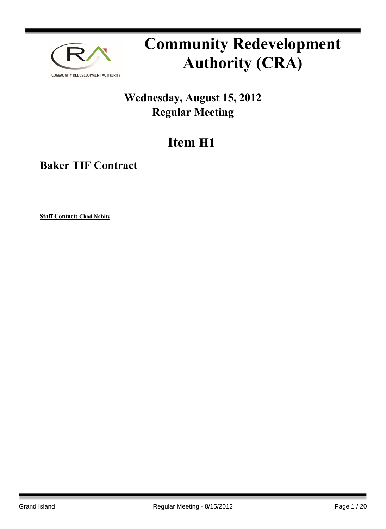

# **Community Redevelopment Authority (CRA)**

### **Wednesday, August 15, 2012 Regular Meeting**

## **Item H1**

**Baker TIF Contract**

**Staff Contact: Chad Nabity**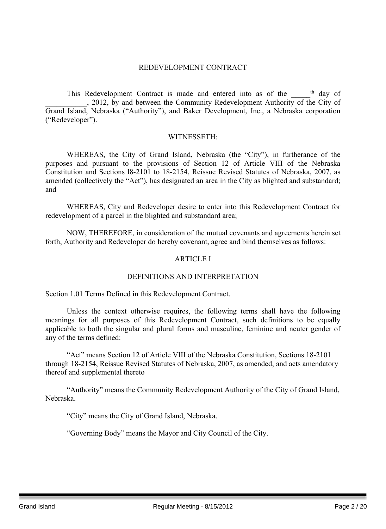#### REDEVELOPMENT CONTRACT

This Redevelopment Contract is made and entered into as of the \_\_\_\_\_<sup>th</sup> day of \_\_\_\_\_\_\_\_\_\_\_, 2012, by and between the Community Redevelopment Authority of the City of Grand Island, Nebraska ("Authority"), and Baker Development, Inc., a Nebraska corporation ("Redeveloper").

#### WITNESSETH:

WHEREAS, the City of Grand Island, Nebraska (the "City"), in furtherance of the purposes and pursuant to the provisions of Section 12 of Article VIII of the Nebraska Constitution and Sections l8-2101 to 18-2154, Reissue Revised Statutes of Nebraska, 2007, as amended (collectively the "Act"), has designated an area in the City as blighted and substandard; and

WHEREAS, City and Redeveloper desire to enter into this Redevelopment Contract for redevelopment of a parcel in the blighted and substandard area;

NOW, THEREFORE, in consideration of the mutual covenants and agreements herein set forth, Authority and Redeveloper do hereby covenant, agree and bind themselves as follows:

#### ARTICLE I

#### DEFINITIONS AND INTERPRETATION

Section 1.01 Terms Defined in this Redevelopment Contract.

Unless the context otherwise requires, the following terms shall have the following meanings for all purposes of this Redevelopment Contract, such definitions to be equally applicable to both the singular and plural forms and masculine, feminine and neuter gender of any of the terms defined:

"Act" means Section 12 of Article VIII of the Nebraska Constitution, Sections 18-2101 through 18-2154, Reissue Revised Statutes of Nebraska, 2007, as amended, and acts amendatory thereof and supplemental thereto

"Authority" means the Community Redevelopment Authority of the City of Grand Island, Nebraska.

"City" means the City of Grand Island, Nebraska.

"Governing Body" means the Mayor and City Council of the City.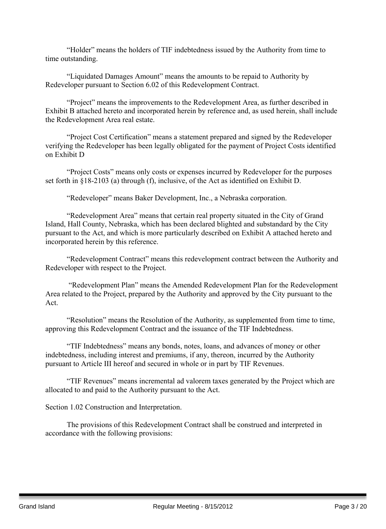"Holder" means the holders of TIF indebtedness issued by the Authority from time to time outstanding.

"Liquidated Damages Amount" means the amounts to be repaid to Authority by Redeveloper pursuant to Section 6.02 of this Redevelopment Contract.

"Project" means the improvements to the Redevelopment Area, as further described in Exhibit B attached hereto and incorporated herein by reference and, as used herein, shall include the Redevelopment Area real estate.

"Project Cost Certification" means a statement prepared and signed by the Redeveloper verifying the Redeveloper has been legally obligated for the payment of Project Costs identified on Exhibit D

"Project Costs" means only costs or expenses incurred by Redeveloper for the purposes set forth in §18-2103 (a) through (f), inclusive, of the Act as identified on Exhibit D.

"Redeveloper" means Baker Development, Inc., a Nebraska corporation.

"Redevelopment Area" means that certain real property situated in the City of Grand Island, Hall County, Nebraska, which has been declared blighted and substandard by the City pursuant to the Act, and which is more particularly described on Exhibit A attached hereto and incorporated herein by this reference.

"Redevelopment Contract" means this redevelopment contract between the Authority and Redeveloper with respect to the Project.

"Redevelopment Plan" means the Amended Redevelopment Plan for the Redevelopment Area related to the Project, prepared by the Authority and approved by the City pursuant to the Act.

"Resolution" means the Resolution of the Authority, as supplemented from time to time, approving this Redevelopment Contract and the issuance of the TIF Indebtedness.

"TIF Indebtedness" means any bonds, notes, loans, and advances of money or other indebtedness, including interest and premiums, if any, thereon, incurred by the Authority pursuant to Article III hereof and secured in whole or in part by TIF Revenues.

"TIF Revenues" means incremental ad valorem taxes generated by the Project which are allocated to and paid to the Authority pursuant to the Act.

Section 1.02 Construction and Interpretation.

The provisions of this Redevelopment Contract shall be construed and interpreted in accordance with the following provisions: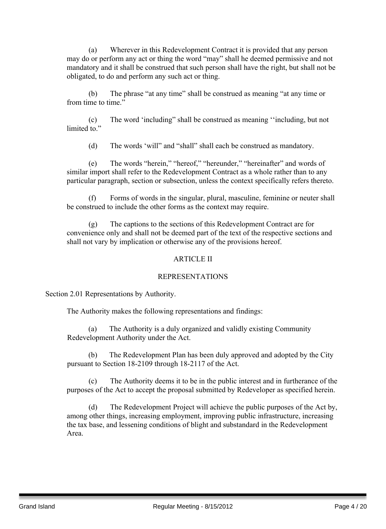(a) Wherever in this Redevelopment Contract it is provided that any person may do or perform any act or thing the word "may" shall he deemed permissive and not mandatory and it shall be construed that such person shall have the right, but shall not be obligated, to do and perform any such act or thing.

(b) The phrase "at any time" shall be construed as meaning "at any time or from time to time."

(c) The word 'including" shall be construed as meaning ''including, but not limited to"

(d) The words 'will" and "shall" shall each be construed as mandatory.

(e) The words "herein," "hereof," "hereunder," "hereinafter" and words of similar import shall refer to the Redevelopment Contract as a whole rather than to any particular paragraph, section or subsection, unless the context specifically refers thereto.

(f) Forms of words in the singular, plural, masculine, feminine or neuter shall be construed to include the other forms as the context may require.

(g) The captions to the sections of this Redevelopment Contract are for convenience only and shall not be deemed part of the text of the respective sections and shall not vary by implication or otherwise any of the provisions hereof.

#### ARTICLE II

#### REPRESENTATIONS

Section 2.01 Representations by Authority.

The Authority makes the following representations and findings:

(a) The Authority is a duly organized and validly existing Community Redevelopment Authority under the Act.

(b) The Redevelopment Plan has been duly approved and adopted by the City pursuant to Section 18-2109 through 18-2117 of the Act.

(c) The Authority deems it to be in the public interest and in furtherance of the purposes of the Act to accept the proposal submitted by Redeveloper as specified herein.

(d) The Redevelopment Project will achieve the public purposes of the Act by, among other things, increasing employment, improving public infrastructure, increasing the tax base, and lessening conditions of blight and substandard in the Redevelopment Area.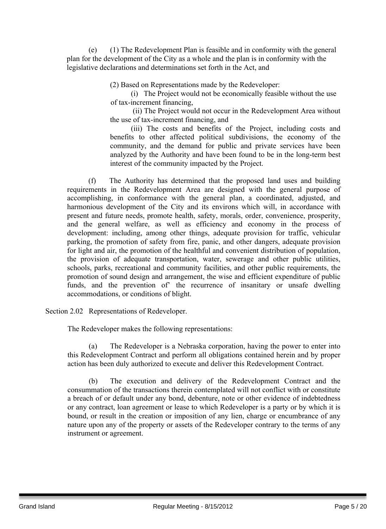(e) (1) The Redevelopment Plan is feasible and in conformity with the general plan for the development of the City as a whole and the plan is in conformity with the legislative declarations and determinations set forth in the Act, and

(2) Based on Representations made by the Redeveloper:

(i) The Project would not be economically feasible without the use of tax-increment financing,

(ii) The Project would not occur in the Redevelopment Area without the use of tax-increment financing, and

(iii) The costs and benefits of the Project, including costs and benefits to other affected political subdivisions, the economy of the community, and the demand for public and private services have been analyzed by the Authority and have been found to be in the long-term best interest of the community impacted by the Project.

(f) The Authority has determined that the proposed land uses and building requirements in the Redevelopment Area are designed with the general purpose of accomplishing, in conformance with the general plan, a coordinated, adjusted, and harmonious development of the City and its environs which will, in accordance with present and future needs, promote health, safety, morals, order, convenience, prosperity, and the general welfare, as well as efficiency and economy in the process of development: including, among other things, adequate provision for traffic, vehicular parking, the promotion of safety from fire, panic, and other dangers, adequate provision for light and air, the promotion of the healthful and convenient distribution of population, the provision of adequate transportation, water, sewerage and other public utilities, schools, parks, recreational and community facilities, and other public requirements, the promotion of sound design and arrangement, the wise and efficient expenditure of public funds, and the prevention of' the recurrence of insanitary or unsafe dwelling accommodations, or conditions of blight.

Section 2.02 Representations of Redeveloper.

The Redeveloper makes the following representations:

(a) The Redeveloper is a Nebraska corporation, having the power to enter into this Redevelopment Contract and perform all obligations contained herein and by proper action has been duly authorized to execute and deliver this Redevelopment Contract.

(b) The execution and delivery of the Redevelopment Contract and the consummation of the transactions therein contemplated will not conflict with or constitute a breach of or default under any bond, debenture, note or other evidence of indebtedness or any contract, loan agreement or lease to which Redeveloper is a party or by which it is bound, or result in the creation or imposition of any lien, charge or encumbrance of any nature upon any of the property or assets of the Redeveloper contrary to the terms of any instrument or agreement.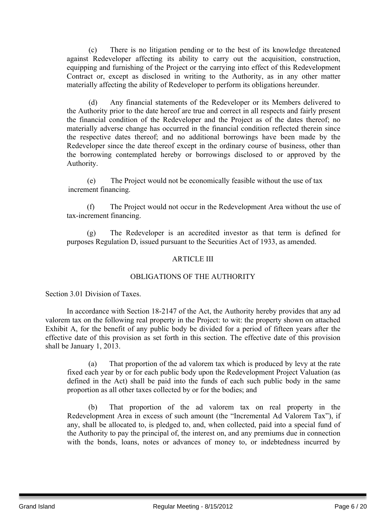(c) There is no litigation pending or to the best of its knowledge threatened against Redeveloper affecting its ability to carry out the acquisition, construction, equipping and furnishing of the Project or the carrying into effect of this Redevelopment Contract or, except as disclosed in writing to the Authority, as in any other matter materially affecting the ability of Redeveloper to perform its obligations hereunder.

(d) Any financial statements of the Redeveloper or its Members delivered to the Authority prior to the date hereof are true and correct in all respects and fairly present the financial condition of the Redeveloper and the Project as of the dates thereof; no materially adverse change has occurred in the financial condition reflected therein since the respective dates thereof; and no additional borrowings have been made by the Redeveloper since the date thereof except in the ordinary course of business, other than the borrowing contemplated hereby or borrowings disclosed to or approved by the Authority.

(e) The Project would not be economically feasible without the use of tax increment financing.

(f) The Project would not occur in the Redevelopment Area without the use of tax-increment financing.

(g) The Redeveloper is an accredited investor as that term is defined for purposes Regulation D, issued pursuant to the Securities Act of 1933, as amended.

#### ARTICLE III

#### OBLIGATIONS OF THE AUTHORITY

Section 3.01 Division of Taxes.

In accordance with Section 18-2147 of the Act, the Authority hereby provides that any ad valorem tax on the following real property in the Project: to wit: the property shown on attached Exhibit A, for the benefit of any public body be divided for a period of fifteen years after the effective date of this provision as set forth in this section. The effective date of this provision shall be January 1, 2013.

(a) That proportion of the ad valorem tax which is produced by levy at the rate fixed each year by or for each public body upon the Redevelopment Project Valuation (as defined in the Act) shall be paid into the funds of each such public body in the same proportion as all other taxes collected by or for the bodies; and

(b) That proportion of the ad valorem tax on real property in the Redevelopment Area in excess of such amount (the "Incremental Ad Valorem Tax"), if any, shall be allocated to, is pledged to, and, when collected, paid into a special fund of the Authority to pay the principal of, the interest on, and any premiums due in connection with the bonds, loans, notes or advances of money to, or indebtedness incurred by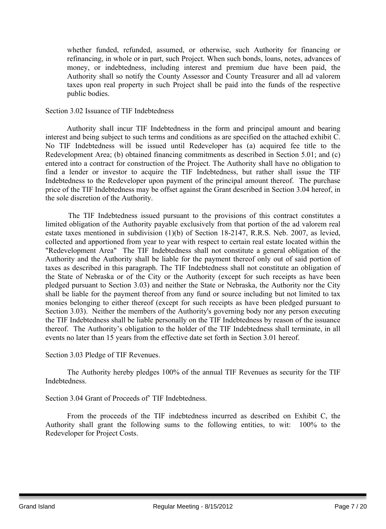whether funded, refunded, assumed, or otherwise, such Authority for financing or refinancing, in whole or in part, such Project. When such bonds, loans, notes, advances of money, or indebtedness, including interest and premium due have been paid, the Authority shall so notify the County Assessor and County Treasurer and all ad valorem taxes upon real property in such Project shall be paid into the funds of the respective public bodies.

#### Section 3.02 Issuance of TIF Indebtedness

Authority shall incur TIF Indebtedness in the form and principal amount and bearing interest and being subject to such terms and conditions as are specified on the attached exhibit C. No TIF Indebtedness will be issued until Redeveloper has (a) acquired fee title to the Redevelopment Area; (b) obtained financing commitments as described in Section 5.01; and (c) entered into a contract for construction of the Project. The Authority shall have no obligation to find a lender or investor to acquire the TIF Indebtedness, but rather shall issue the TIF Indebtedness to the Redeveloper upon payment of the principal amount thereof. The purchase price of the TIF Indebtedness may be offset against the Grant described in Section 3.04 hereof, in the sole discretion of the Authority.

The TIF Indebtedness issued pursuant to the provisions of this contract constitutes a limited obligation of the Authority payable exclusively from that portion of the ad valorem real estate taxes mentioned in subdivision (1)(b) of Section 18-2147, R.R.S. Neb. 2007, as levied, collected and apportioned from year to year with respect to certain real estate located within the "Redevelopment Area" The TIF Indebtedness shall not constitute a general obligation of the Authority and the Authority shall be liable for the payment thereof only out of said portion of taxes as described in this paragraph. The TIF Indebtedness shall not constitute an obligation of the State of Nebraska or of the City or the Authority (except for such receipts as have been pledged pursuant to Section 3.03) and neither the State or Nebraska, the Authority nor the City shall be liable for the payment thereof from any fund or source including but not limited to tax monies belonging to either thereof (except for such receipts as have been pledged pursuant to Section 3.03). Neither the members of the Authority's governing body nor any person executing the TIF Indebtedness shall be liable personally on the TIF Indebtedness by reason of the issuance thereof. The Authority's obligation to the holder of the TIF Indebtedness shall terminate, in all events no later than 15 years from the effective date set forth in Section 3.01 hereof.

Section 3.03 Pledge of TIF Revenues.

The Authority hereby pledges 100% of the annual TIF Revenues as security for the TIF Indebtedness.

Section 3.04 Grant of Proceeds of' TIF Indebtedness.

From the proceeds of the TIF indebtedness incurred as described on Exhibit C, the Authority shall grant the following sums to the following entities, to wit: 100% to the Redeveloper for Project Costs.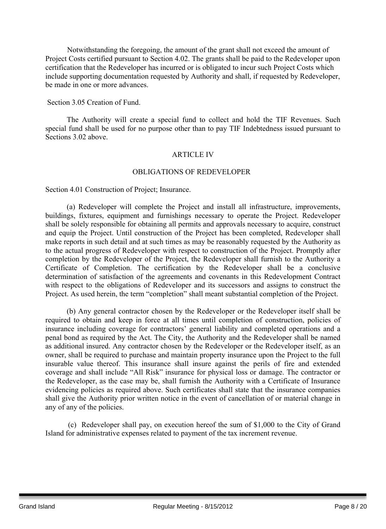Notwithstanding the foregoing, the amount of the grant shall not exceed the amount of Project Costs certified pursuant to Section 4.02. The grants shall be paid to the Redeveloper upon certification that the Redeveloper has incurred or is obligated to incur such Project Costs which include supporting documentation requested by Authority and shall, if requested by Redeveloper, be made in one or more advances.

Section 3.05 Creation of Fund.

The Authority will create a special fund to collect and hold the TIF Revenues. Such special fund shall be used for no purpose other than to pay TIF Indebtedness issued pursuant to Sections 3.02 above.

#### ARTICLE IV

#### OBLIGATIONS OF REDEVELOPER

Section 4.01 Construction of Project; Insurance.

(a) Redeveloper will complete the Project and install all infrastructure, improvements, buildings, fixtures, equipment and furnishings necessary to operate the Project. Redeveloper shall be solely responsible for obtaining all permits and approvals necessary to acquire, construct and equip the Project. Until construction of the Project has been completed, Redeveloper shall make reports in such detail and at such times as may be reasonably requested by the Authority as to the actual progress of Redeveloper with respect to construction of the Project. Promptly after completion by the Redeveloper of the Project, the Redeveloper shall furnish to the Authority a Certificate of Completion. The certification by the Redeveloper shall be a conclusive determination of satisfaction of the agreements and covenants in this Redevelopment Contract with respect to the obligations of Redeveloper and its successors and assigns to construct the Project. As used herein, the term "completion" shall meant substantial completion of the Project.

(b) Any general contractor chosen by the Redeveloper or the Redeveloper itself shall be required to obtain and keep in force at all times until completion of construction, policies of insurance including coverage for contractors' general liability and completed operations and a penal bond as required by the Act. The City, the Authority and the Redeveloper shall be named as additional insured. Any contractor chosen by the Redeveloper or the Redeveloper itself, as an owner, shall be required to purchase and maintain property insurance upon the Project to the full insurable value thereof. This insurance shall insure against the perils of fire and extended coverage and shall include "All Risk" insurance for physical loss or damage. The contractor or the Redeveloper, as the case may be, shall furnish the Authority with a Certificate of Insurance evidencing policies as required above. Such certificates shall state that the insurance companies shall give the Authority prior written notice in the event of cancellation of or material change in any of any of the policies.

(c) Redeveloper shall pay, on execution hereof the sum of \$1,000 to the City of Grand Island for administrative expenses related to payment of the tax increment revenue.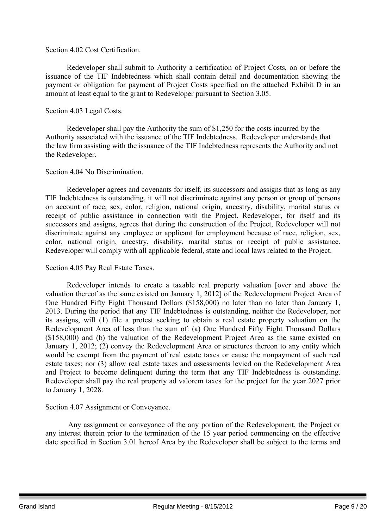#### Section 4.02 Cost Certification.

Redeveloper shall submit to Authority a certification of Project Costs, on or before the issuance of the TIF Indebtedness which shall contain detail and documentation showing the payment or obligation for payment of Project Costs specified on the attached Exhibit D in an amount at least equal to the grant to Redeveloper pursuant to Section 3.05.

#### Section 4.03 Legal Costs.

Redeveloper shall pay the Authority the sum of \$1,250 for the costs incurred by the Authority associated with the issuance of the TIF Indebtedness. Redeveloper understands that the law firm assisting with the issuance of the TIF Indebtedness represents the Authority and not the Redeveloper.

#### Section 4.04 No Discrimination.

Redeveloper agrees and covenants for itself, its successors and assigns that as long as any TIF Indebtedness is outstanding, it will not discriminate against any person or group of persons on account of race, sex, color, religion, national origin, ancestry, disability, marital status or receipt of public assistance in connection with the Project. Redeveloper, for itself and its successors and assigns, agrees that during the construction of the Project, Redeveloper will not discriminate against any employee or applicant for employment because of race, religion, sex, color, national origin, ancestry, disability, marital status or receipt of public assistance. Redeveloper will comply with all applicable federal, state and local laws related to the Project.

#### Section 4.05 Pay Real Estate Taxes.

Redeveloper intends to create a taxable real property valuation [over and above the valuation thereof as the same existed on January 1, 2012] of the Redevelopment Project Area of One Hundred Fifty Eight Thousand Dollars (\$158,000) no later than no later than January 1, 2013. During the period that any TIF Indebtedness is outstanding, neither the Redeveloper, nor its assigns, will (1) file a protest seeking to obtain a real estate property valuation on the Redevelopment Area of less than the sum of: (a) One Hundred Fifty Eight Thousand Dollars (\$158,000) and (b) the valuation of the Redevelopment Project Area as the same existed on January 1, 2012; (2) convey the Redevelopment Area or structures thereon to any entity which would be exempt from the payment of real estate taxes or cause the nonpayment of such real estate taxes; nor (3) allow real estate taxes and assessments levied on the Redevelopment Area and Project to become delinquent during the term that any TIF Indebtedness is outstanding. Redeveloper shall pay the real property ad valorem taxes for the project for the year 2027 prior to January 1, 2028.

#### Section 4.07 Assignment or Conveyance.

Any assignment or conveyance of the any portion of the Redevelopment, the Project or any interest therein prior to the termination of the 15 year period commencing on the effective date specified in Section 3.01 hereof Area by the Redeveloper shall be subject to the terms and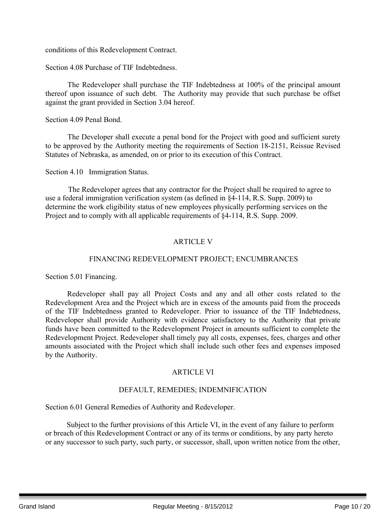conditions of this Redevelopment Contract.

Section 4.08 Purchase of TIF Indebtedness.

The Redeveloper shall purchase the TIF Indebtedness at 100% of the principal amount thereof upon issuance of such debt. The Authority may provide that such purchase be offset against the grant provided in Section 3.04 hereof.

Section 4.09 Penal Bond.

The Developer shall execute a penal bond for the Project with good and sufficient surety to be approved by the Authority meeting the requirements of Section 18-2151, Reissue Revised Statutes of Nebraska, as amended, on or prior to its execution of this Contract.

Section 4.10 Immigration Status.

The Redeveloper agrees that any contractor for the Project shall be required to agree to use a federal immigration verification system (as defined in §4-114, R.S. Supp. 2009) to determine the work eligibility status of new employees physically performing services on the Project and to comply with all applicable requirements of §4-114, R.S. Supp. 2009.

#### ARTICLE V

#### FINANCING REDEVELOPMENT PROJECT; ENCUMBRANCES

Section 5.01 Financing.

Redeveloper shall pay all Project Costs and any and all other costs related to the Redevelopment Area and the Project which are in excess of the amounts paid from the proceeds of the TIF Indebtedness granted to Redeveloper. Prior to issuance of the TIF Indebtedness, Redeveloper shall provide Authority with evidence satisfactory to the Authority that private funds have been committed to the Redevelopment Project in amounts sufficient to complete the Redevelopment Project. Redeveloper shall timely pay all costs, expenses, fees, charges and other amounts associated with the Project which shall include such other fees and expenses imposed by the Authority.

#### ARTICLE VI

#### DEFAULT, REMEDIES; INDEMNIFICATION

Section 6.01 General Remedies of Authority and Redeveloper.

Subject to the further provisions of this Article VI, in the event of any failure to perform or breach of this Redevelopment Contract or any of its terms or conditions, by any party hereto or any successor to such party, such party, or successor, shall, upon written notice from the other,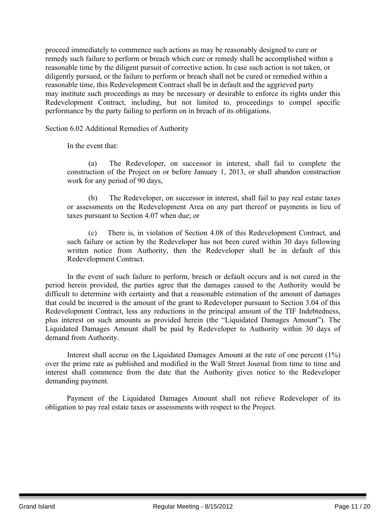proceed immediately to commence such actions as may be reasonably designed to cure or remedy such failure to perform or breach which cure or remedy shall be accomplished within a reasonable time by the diligent pursuit of corrective action. In case such action is not taken, or diligently pursued, or the failure to perform or breach shall not be cured or remedied within a reasonable time, this Redevelopment Contract shall be in default and the aggrieved party may institute such proceedings as may be necessary or desirable to enforce its rights under this Redevelopment Contract, including, but not limited to, proceedings to compel specific performance by the party failing to perform on in breach of its obligations.

Section 6.02 Additional Remedies of Authority

In the event that:

(a) The Redeveloper, on successor in interest, shall fail to complete the construction of the Project on or before January 1, 2013, or shall abandon construction work for any period of 90 days,

(b) The Redeveloper, on successor in interest, shall fail to pay real estate taxes or assessments on the Redevelopment Area on any part thereof or payments in lieu of taxes pursuant to Section 4.07 when due; or

(c) There is, in violation of Section 4.08 of this Redevelopment Contract, and such failure or action by the Redeveloper has not been cured within 30 days following written notice from Authority, then the Redeveloper shall be in default of this Redevelopment Contract.

In the event of such failure to perform, breach or default occurs and is not cured in the period herein provided, the parties agree that the damages caused to the Authority would be difficult to determine with certainty and that a reasonable estimation of the amount of damages that could be incurred is the amount of the grant to Redeveloper pursuant to Section 3.04 of this Redevelopment Contract, less any reductions in the principal amount of the TIF Indebtedness, plus interest on such amounts as provided herein (the "Liquidated Damages Amount"). The Liquidated Damages Amount shall be paid by Redeveloper to Authority within 30 days of demand from Authority.

Interest shall accrue on the Liquidated Damages Amount at the rate of one percent (1%) over the prime rate as published and modified in the Wall Street Journal from time to time and interest shall commence from the date that the Authority gives notice to the Redeveloper demanding payment.

Payment of the Liquidated Damages Amount shall not relieve Redeveloper of its obligation to pay real estate taxes or assessments with respect to the Project.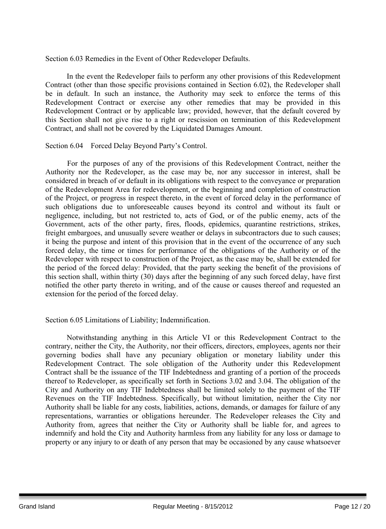Section 6.03 Remedies in the Event of Other Redeveloper Defaults.

In the event the Redeveloper fails to perform any other provisions of this Redevelopment Contract (other than those specific provisions contained in Section 6.02), the Redeveloper shall be in default. In such an instance, the Authority may seek to enforce the terms of this Redevelopment Contract or exercise any other remedies that may be provided in this Redevelopment Contract or by applicable law; provided, however, that the default covered by this Section shall not give rise to a right or rescission on termination of this Redevelopment Contract, and shall not be covered by the Liquidated Damages Amount.

Section 6.04 Forced Delay Beyond Party's Control.

For the purposes of any of the provisions of this Redevelopment Contract, neither the Authority nor the Redeveloper, as the case may be, nor any successor in interest, shall be considered in breach of or default in its obligations with respect to the conveyance or preparation of the Redevelopment Area for redevelopment, or the beginning and completion of construction of the Project, or progress in respect thereto, in the event of forced delay in the performance of such obligations due to unforeseeable causes beyond its control and without its fault or negligence, including, but not restricted to, acts of God, or of the public enemy, acts of the Government, acts of the other party, fires, floods, epidemics, quarantine restrictions, strikes, freight embargoes, and unusually severe weather or delays in subcontractors due to such causes; it being the purpose and intent of this provision that in the event of the occurrence of any such forced delay, the time or times for performance of the obligations of the Authority or of the Redeveloper with respect to construction of the Project, as the case may be, shall be extended for the period of the forced delay: Provided, that the party seeking the benefit of the provisions of this section shall, within thirty (30) days after the beginning of any such forced delay, have first notified the other party thereto in writing, and of the cause or causes thereof and requested an extension for the period of the forced delay.

#### Section 6.05 Limitations of Liability; Indemnification.

Notwithstanding anything in this Article VI or this Redevelopment Contract to the contrary, neither the City, the Authority, nor their officers, directors, employees, agents nor their governing bodies shall have any pecuniary obligation or monetary liability under this Redevelopment Contract. The sole obligation of the Authority under this Redevelopment Contract shall be the issuance of the TIF Indebtedness and granting of a portion of the proceeds thereof to Redeveloper, as specifically set forth in Sections 3.02 and 3.04. The obligation of the City and Authority on any TIF Indebtedness shall be limited solely to the payment of the TIF Revenues on the TIF Indebtedness. Specifically, but without limitation, neither the City nor Authority shall be liable for any costs, liabilities, actions, demands, or damages for failure of any representations, warranties or obligations hereunder. The Redeveloper releases the City and Authority from, agrees that neither the City or Authority shall be liable for, and agrees to indemnify and hold the City and Authority harmless from any liability for any loss or damage to property or any injury to or death of any person that may be occasioned by any cause whatsoever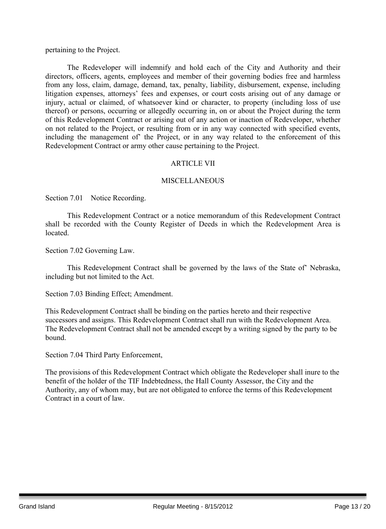pertaining to the Project.

The Redeveloper will indemnify and hold each of the City and Authority and their directors, officers, agents, employees and member of their governing bodies free and harmless from any loss, claim, damage, demand, tax, penalty, liability, disbursement, expense, including litigation expenses, attorneys' fees and expenses, or court costs arising out of any damage or injury, actual or claimed, of whatsoever kind or character, to property (including loss of use thereof) or persons, occurring or allegedly occurring in, on or about the Project during the term of this Redevelopment Contract or arising out of any action or inaction of Redeveloper, whether on not related to the Project, or resulting from or in any way connected with specified events, including the management of' the Project, or in any way related to the enforcement of this Redevelopment Contract or army other cause pertaining to the Project.

#### ARTICLE VII

#### **MISCELLANEOUS**

Section 7.01 Notice Recording.

This Redevelopment Contract or a notice memorandum of this Redevelopment Contract shall be recorded with the County Register of Deeds in which the Redevelopment Area is located.

Section 7.02 Governing Law.

This Redevelopment Contract shall be governed by the laws of the State of' Nebraska, including but not limited to the Act.

Section 7.03 Binding Effect; Amendment.

This Redevelopment Contract shall be binding on the parties hereto and their respective successors and assigns. This Redevelopment Contract shall run with the Redevelopment Area. The Redevelopment Contract shall not be amended except by a writing signed by the party to be bound.

Section 7.04 Third Party Enforcement,

The provisions of this Redevelopment Contract which obligate the Redeveloper shall inure to the benefit of the holder of the TIF Indebtedness, the Hall County Assessor, the City and the Authority, any of whom may, but are not obligated to enforce the terms of this Redevelopment Contract in a court of law.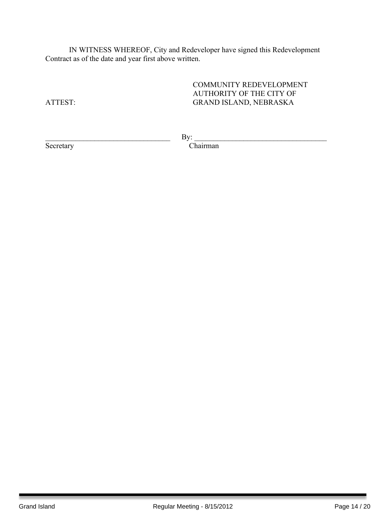IN WITNESS WHEREOF, City and Redeveloper have signed this Redevelopment Contract as of the date and year first above written.

COMMUNITY REDEVELOPMENT AUTHORITY OF THE CITY OF ATTEST: GRAND ISLAND, NEBRASKA

Secretary

By: Chairman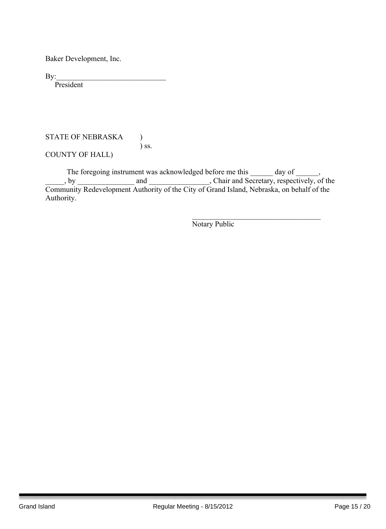Baker Development, Inc.

By:\_\_\_\_\_\_\_\_\_\_\_\_\_\_\_\_\_\_\_\_\_\_\_\_\_\_\_\_\_

President

#### STATE OF NEBRASKA ) ) ss.

COUNTY OF HALL)

The foregoing instrument was acknowledged before me this \_\_\_\_\_\_ day of \_\_\_\_\_\_, . by and and containing the secretary, respectively, of the Community Redevelopment Authority of the City of Grand Island, Nebraska, on behalf of the Authority.

Notary Public

 $\mathcal{L}_\text{max}$  , and the set of the set of the set of the set of the set of the set of the set of the set of the set of the set of the set of the set of the set of the set of the set of the set of the set of the set of the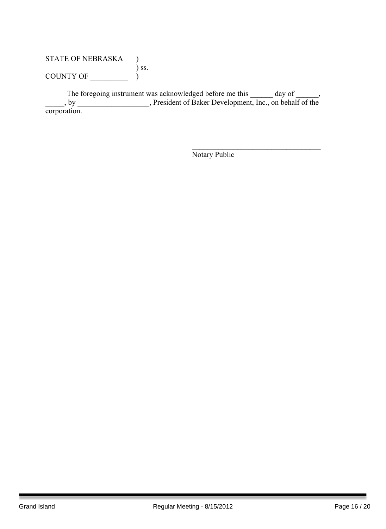#### STATE OF NEBRASKA ) ) ss. COUNTY OF  $\_\_\_\_\_$  )

The foregoing instrument was acknowledged before me this \_\_\_\_\_\_ day of \_\_\_\_\_\_, \_\_\_\_\_, by \_\_\_\_\_\_\_\_\_\_\_\_\_\_\_\_\_\_\_, President of Baker Development, Inc., on behalf of the corporation.

Notary Public

 $\mathcal{L}_\text{max}$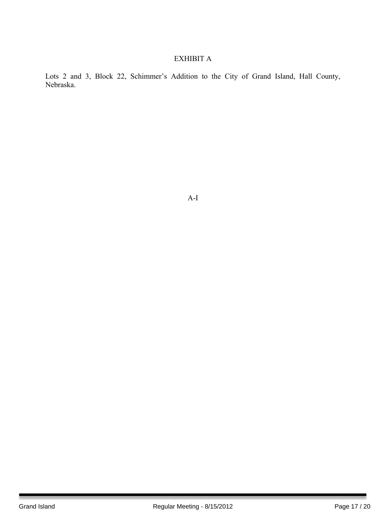#### EXHIBIT A

Lots 2 and 3, Block 22, Schimmer's Addition to the City of Grand Island, Hall County, Nebraska.

A-I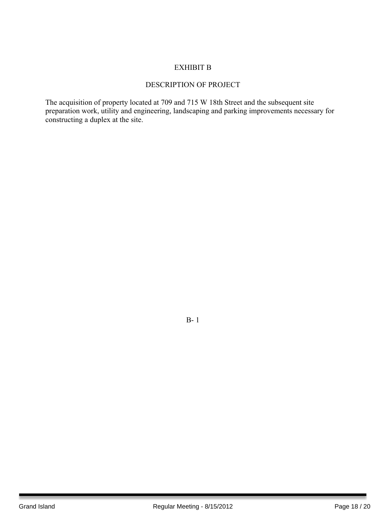#### EXHIBIT B

#### DESCRIPTION OF PROJECT

The acquisition of property located at 709 and 715 W 18th Street and the subsequent site preparation work, utility and engineering, landscaping and parking improvements necessary for constructing a duplex at the site.

B- 1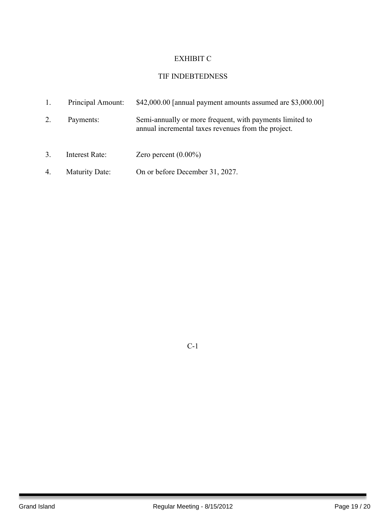#### EXHIBIT C

#### TIF INDEBTEDNESS

|              | Principal Amount:     | $$42,000.00$ [annual payment amounts assumed are $$3,000.00]$ ]                                                 |
|--------------|-----------------------|-----------------------------------------------------------------------------------------------------------------|
| 2.           | Payments:             | Semi-annually or more frequent, with payments limited to<br>annual incremental taxes revenues from the project. |
| $\mathbf{3}$ | Interest Rate:        | Zero percent $(0.00\%)$                                                                                         |
| 4.           | <b>Maturity Date:</b> | On or before December 31, 2027.                                                                                 |

C-1